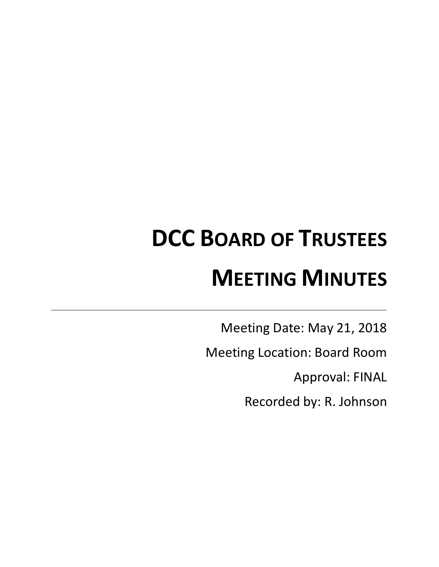# **DCC BOARD OF TRUSTEES MEETING MINUTES**

Meeting Date: May 21, 2018

Meeting Location: Board Room

Approval: FINAL

Recorded by: R. Johnson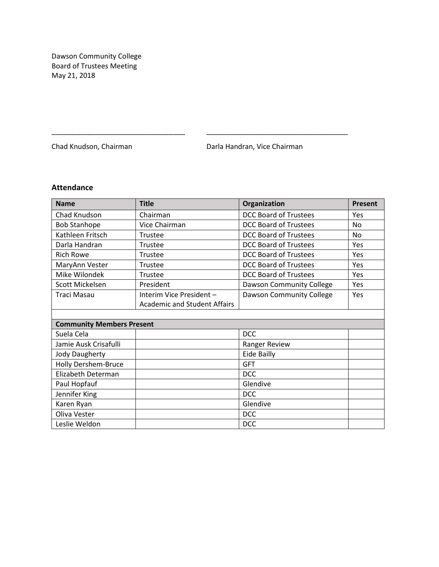Dawson Community College Board of Trustees Meeting May 21, 2018

Chad Knudson, Chairman **Darla Handran, Vice Chairman** 

# **Attendance**

| <b>Name</b>                      | <b>Title</b>                        | Organization                 | Present   |
|----------------------------------|-------------------------------------|------------------------------|-----------|
| Chad Knudson                     | Chairman                            | <b>DCC Board of Trustees</b> | Yes       |
| <b>Bob Stanhope</b>              | Vice Chairman                       | <b>DCC Board of Trustees</b> | <b>No</b> |
| Kathleen Fritsch                 | Trustee                             | <b>DCC Board of Trustees</b> | <b>No</b> |
| Darla Handran                    | Trustee                             | <b>DCC Board of Trustees</b> | Yes       |
| <b>Rich Rowe</b>                 | Trustee                             | <b>DCC Board of Trustees</b> | Yes       |
| MaryAnn Vester                   | Trustee                             | <b>DCC Board of Trustees</b> | Yes       |
| Mike Wilondek                    | Trustee                             | <b>DCC Board of Trustees</b> | Yes       |
| Scott Mickelsen                  | President                           | Dawson Community College     | Yes       |
| Traci Masau                      | Interim Vice President -            | Dawson Community College     | Yes       |
|                                  | <b>Academic and Student Affairs</b> |                              |           |
|                                  |                                     |                              |           |
| <b>Community Members Present</b> |                                     |                              |           |
| Suela Cela                       |                                     | <b>DCC</b>                   |           |
| Jamie Ausk Crisafulli            |                                     | Ranger Review                |           |
| <b>Jody Daugherty</b>            |                                     | <b>Eide Bailly</b>           |           |
| <b>Holly Dershem-Bruce</b>       |                                     | <b>GFT</b>                   |           |
| Elizabeth Determan               |                                     | <b>DCC</b>                   |           |
| Paul Hopfauf                     |                                     | Glendive                     |           |
| Jennifer King                    |                                     | <b>DCC</b>                   |           |
| Karen Ryan                       |                                     | Glendive                     |           |
| Oliva Vester                     |                                     | <b>DCC</b>                   |           |
| Leslie Weldon                    |                                     | <b>DCC</b>                   |           |

\_\_\_\_\_\_\_\_\_\_\_\_\_\_\_\_\_\_\_\_\_\_\_\_\_\_\_\_\_\_\_\_\_\_ \_\_\_\_\_\_\_\_\_\_\_\_\_\_\_\_\_\_\_\_\_\_\_\_\_\_\_\_\_\_\_\_\_\_\_\_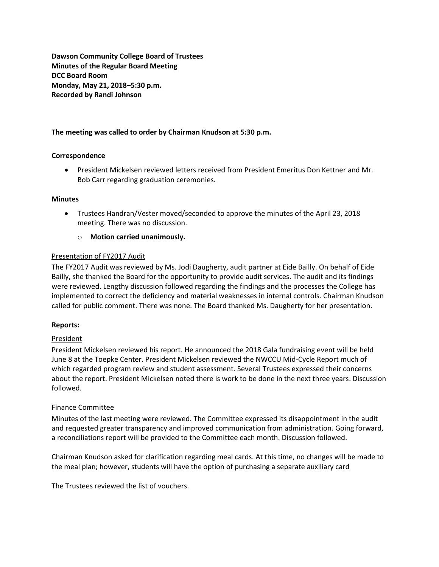**Dawson Community College Board of Trustees Minutes of the Regular Board Meeting DCC Board Room Monday, May 21, 2018–5:30 p.m. Recorded by Randi Johnson**

#### **The meeting was called to order by Chairman Knudson at 5:30 p.m.**

#### **Correspondence**

 President Mickelsen reviewed letters received from President Emeritus Don Kettner and Mr. Bob Carr regarding graduation ceremonies.

#### **Minutes**

- Trustees Handran/Vester moved/seconded to approve the minutes of the April 23, 2018 meeting. There was no discussion.
	- o **Motion carried unanimously.**

#### Presentation of FY2017 Audit

The FY2017 Audit was reviewed by Ms. Jodi Daugherty, audit partner at Eide Bailly. On behalf of Eide Bailly, she thanked the Board for the opportunity to provide audit services. The audit and its findings were reviewed. Lengthy discussion followed regarding the findings and the processes the College has implemented to correct the deficiency and material weaknesses in internal controls. Chairman Knudson called for public comment. There was none. The Board thanked Ms. Daugherty for her presentation.

#### **Reports:**

#### **President**

President Mickelsen reviewed his report. He announced the 2018 Gala fundraising event will be held June 8 at the Toepke Center. President Mickelsen reviewed the NWCCU Mid-Cycle Report much of which regarded program review and student assessment. Several Trustees expressed their concerns about the report. President Mickelsen noted there is work to be done in the next three years. Discussion followed.

#### Finance Committee

Minutes of the last meeting were reviewed. The Committee expressed its disappointment in the audit and requested greater transparency and improved communication from administration. Going forward, a reconciliations report will be provided to the Committee each month. Discussion followed.

Chairman Knudson asked for clarification regarding meal cards. At this time, no changes will be made to the meal plan; however, students will have the option of purchasing a separate auxiliary card

The Trustees reviewed the list of vouchers.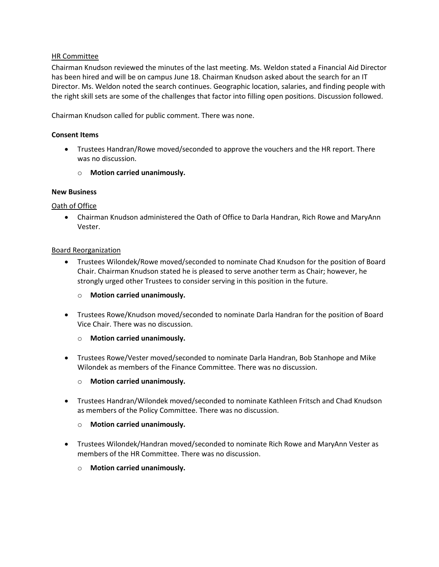# HR Committee

Chairman Knudson reviewed the minutes of the last meeting. Ms. Weldon stated a Financial Aid Director has been hired and will be on campus June 18. Chairman Knudson asked about the search for an IT Director. Ms. Weldon noted the search continues. Geographic location, salaries, and finding people with the right skill sets are some of the challenges that factor into filling open positions. Discussion followed.

Chairman Knudson called for public comment. There was none.

#### **Consent Items**

- Trustees Handran/Rowe moved/seconded to approve the vouchers and the HR report. There was no discussion.
	- o **Motion carried unanimously.**

#### **New Business**

#### Oath of Office

 Chairman Knudson administered the Oath of Office to Darla Handran, Rich Rowe and MaryAnn Vester.

#### Board Reorganization

- Trustees Wilondek/Rowe moved/seconded to nominate Chad Knudson for the position of Board Chair. Chairman Knudson stated he is pleased to serve another term as Chair; however, he strongly urged other Trustees to consider serving in this position in the future.
	- o **Motion carried unanimously.**
- Trustees Rowe/Knudson moved/seconded to nominate Darla Handran for the position of Board Vice Chair. There was no discussion.
	- o **Motion carried unanimously.**
- Trustees Rowe/Vester moved/seconded to nominate Darla Handran, Bob Stanhope and Mike Wilondek as members of the Finance Committee. There was no discussion.
	- o **Motion carried unanimously.**
- Trustees Handran/Wilondek moved/seconded to nominate Kathleen Fritsch and Chad Knudson as members of the Policy Committee. There was no discussion.
	- o **Motion carried unanimously.**
- Trustees Wilondek/Handran moved/seconded to nominate Rich Rowe and MaryAnn Vester as members of the HR Committee. There was no discussion.
	- o **Motion carried unanimously.**